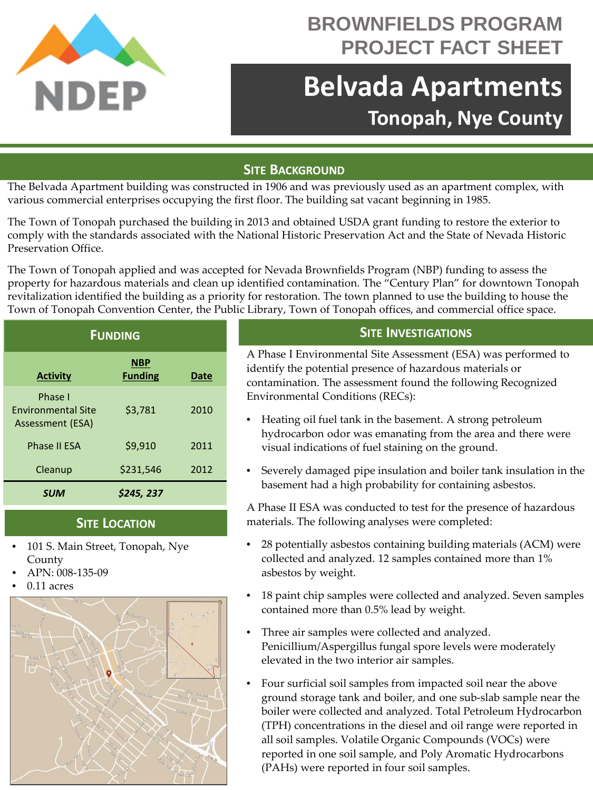

## **BROWNFIELDS PROGRAM PROJECT FACT SHEET**

# **Belvada Apartments Tonopah, Nye County**

### **SITE BACKGROUND**

The Belvada Apartment building was constructed in 1906 and was previously used as an apartment complex, with various commercial enterprises occupying the first floor. The building sat vacant beginning in 1985.

The Town of Tonopah purchased the building in 2013 and obtained USDA grant funding to restore the exterior to comply with the standards associated with the National Historic Preservation Act and the State of Nevada Historic Preservation Office.

The Town of Tonopah applied and was accepted for Nevada Brownfields Program (NBP) funding to assess the property for hazardous materials and clean up identified contamination. The "Century Plan" for downtown Tonopah revitalization identified the building as a priority for restoration. The town planned to use the building to house the Town of Tonopah Convention Center, the Public Library, Town of Tonopah offices, and commercial office space.

| <b>FUNDING</b>                                           |                              |             |
|----------------------------------------------------------|------------------------------|-------------|
| <b>Activity</b>                                          | <b>NBP</b><br><b>Funding</b> | <b>Date</b> |
| Phase I<br><b>Fnvironmental Site</b><br>Assessment (ESA) | \$3,781                      | 2010        |
| <b>Phase II ESA</b>                                      | \$9,910                      | 2011        |
| Cleanup                                                  | \$231,546                    | 2012        |
| <b>SUM</b>                                               | \$245, 237                   |             |

#### **SITE LOCATION**

- 101 S. Main Street, Tonopah, Nye County
- APN: 008-135-09
- 0.11 acres



### **SITE INVESTIGATIONS**

A Phase I Environmental Site Assessment (ESA) was performed to identify the potential presence of hazardous materials or contamination. The assessment found the following Recognized Environmental Conditions (RECs):

- Heating oil fuel tank in the basement. A strong petroleum hydrocarbon odor was emanating from the area and there were visual indications of fuel staining on the ground.
- Severely damaged pipe insulation and boiler tank insulation in the basement had a high probability for containing asbestos.

A Phase II ESA was conducted to test for the presence of hazardous materials. The following analyses were completed:

- 28 potentially asbestos containing building materials (ACM) were collected and analyzed. 12 samples contained more than 1% asbestos by weight.
- 18 paint chip samples were collected and analyzed. Seven samples contained more than 0.5% lead by weight.
- Three air samples were collected and analyzed. Penicillium/Aspergillus fungal spore levels were moderately elevated in the two interior air samples.
- Four surficial soil samples from impacted soil near the above ground storage tank and boiler, and one sub-slab sample near the boiler were collected and analyzed. Total Petroleum Hydrocarbon (TPH) concentrations in the diesel and oil range were reported in all soil samples. Volatile Organic Compounds (VOCs) were reported in one soil sample, and Poly Aromatic Hydrocarbons (PAHs) were reported in four soil samples.